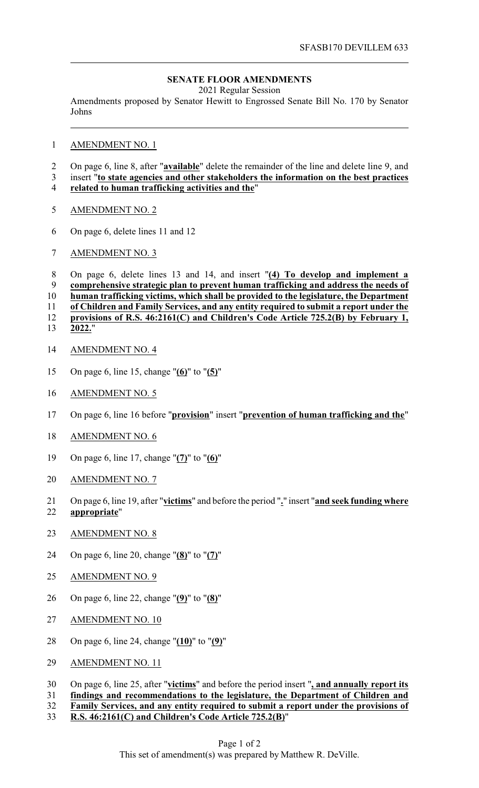## **SENATE FLOOR AMENDMENTS**

2021 Regular Session

Amendments proposed by Senator Hewitt to Engrossed Senate Bill No. 170 by Senator Johns

## AMENDMENT NO. 1

- On page 6, line 8, after "**available**" delete the remainder of the line and delete line 9, and
- insert "**to state agencies and other stakeholders the information on the best practices**
- **related to human trafficking activities and the**"
- AMENDMENT NO. 2
- On page 6, delete lines 11 and 12
- AMENDMENT NO. 3

 On page 6, delete lines 13 and 14, and insert "**(4) To develop and implement a comprehensive strategic plan to prevent human trafficking and address the needs of human trafficking victims, which shall be provided to the legislature, the Department of Children and Family Services, and any entity required to submit a report under the provisions of R.S. 46:2161(C) and Children's Code Article 725.2(B) by February 1, 2022.**"

- AMENDMENT NO. 4
- On page 6, line 15, change "**(6)**" to "**(5)**"
- AMENDMENT NO. 5
- On page 6, line 16 before "**provision**" insert "**prevention of human trafficking and the**"
- AMENDMENT NO. 6
- On page 6, line 17, change "**(7)**" to "**(6)**"
- AMENDMENT NO. 7
- On page 6, line 19, after "**victims**" and before the period "**.**" insert "**and seek funding where appropriate**"
- AMENDMENT NO. 8
- On page 6, line 20, change "**(8)**" to "**(7)**"
- AMENDMENT NO. 9
- On page 6, line 22, change "**(9)**" to "**(8)**"
- AMENDMENT NO. 10
- On page 6, line 24, change "**(10)**" to "**(9)**"
- 29 AMENDMENT NO. 11

## On page 6, line 25, after "**victims**" and before the period insert "**, and annually report its**

- **findings and recommendations to the legislature, the Department of Children and**
- **Family Services, and any entity required to submit a report under the provisions of**
- **R.S. 46:2161(C) and Children's Code Article 725.2(B)**"